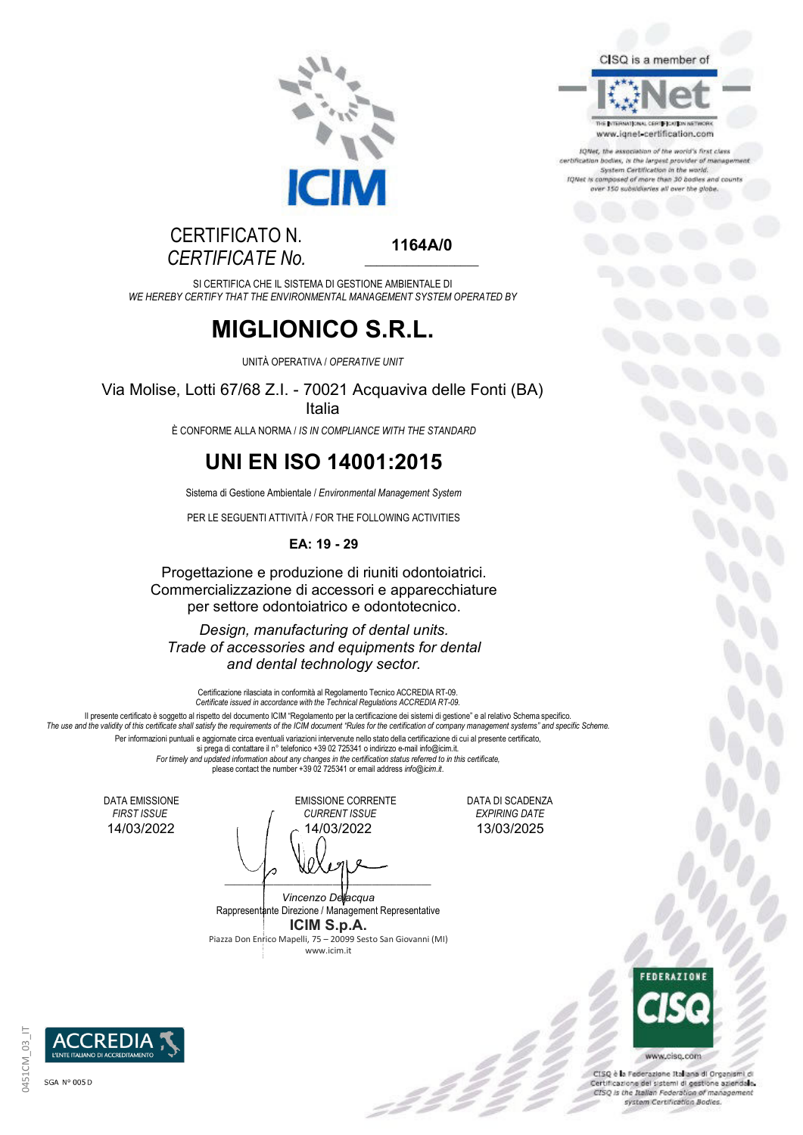

#### CISQ is a member of



IQNet, the association of the world's first class certification bodies, is the largest provider of manager<br>System Certification in the world. IQNet is composed of more than 30 bodies and county ver 150 subsidiaries all over the globe.

### CERTIFICATO N. *CERTIFICATE No.*

**1164A/0**   $\_$ 

SI CERTIFICA CHE IL SISTEMA DI GESTIONE AMBIENTALE DI *WE HEREBY CERTIFY THAT THE ENVIRONMENTAL MANAGEMENT SYSTEM OPERATED BY*

## **MIGLIONICO S.R.L.**

UNITÀ OPERATIVA / *OPERATIVE UNIT*

Via Molise, Lotti 67/68 Z.I. - 70021 Acquaviva delle Fonti (BA) Italia

È CONFORME ALLA NORMA / *IS IN COMPLIANCE WITH THE STANDARD*

## **UNI EN ISO 14001:2015**

Sistema di Gestione Ambientale / *Environmental Management System*

PER LE SEGUENTI ATTIVITÀ / FOR THE FOLLOWING ACTIVITIES

#### **EA: 19 - 29**

Progettazione e produzione di riuniti odontoiatrici. Commercializzazione di accessori e apparecchiature per settore odontoiatrico e odontotecnico.

*Design, manufacturing of dental units. Trade of accessories and equipments for dental and dental technology sector.*

Certificazione rilasciata in conformità al Regolamento Tecnico ACCREDIA RT-09. *Certificate issued in accordance with the Technical Regulations ACCREDIA RT-09.* Il presente certificato è soggetto al rispetto del documento ICIM "Regolamento per la certificazione dei sistemi di gestione" e al relativo Schema specifico. *The use and the validity of this certificate shall satisfy the requirements of the ICIM document "Rules for the certification of company management systems" and specific Scheme.* Per informazioni puntuali e aggiornate circa eventuali variazioni intervenute nello stato della certificazione di cui al presente certificato, si prega di contattare il n° telefonico +39 02 725341 o indirizzo e-mail info@icim.it. *For timely and updated information about any changes in the certification status referred to in this certificate,* please contact the number +39 02 725341 or email address *info@icim.it*.

DATA EMISSIONE EMISSIONE CORRENTE DATA DI SCADENZA<br>FIRST ISSUE FIRST ISSUE FIRST ISSUE EXPIRING DATE *FIRST ISSUE CURRENT ISSUE EXPIRING DATE* 14/03/2022 14/03/2022 13/03/2025

 $\overline{\phantom{a}}$ *Vincenzo Delacqua* Rappresentante Direzione / Management Representative

**ICIM S.p.A.** Piazza Don Enrico Mapelli, 75 – 20099 Sesto San Giovanni (MI) www.icim.it

-22



CISQ è la Federazione Italiana di Organismi di Certificazione del sistemi di gestione aziendale. CISQ is the Italian Federation of management

system Certification Bodies.